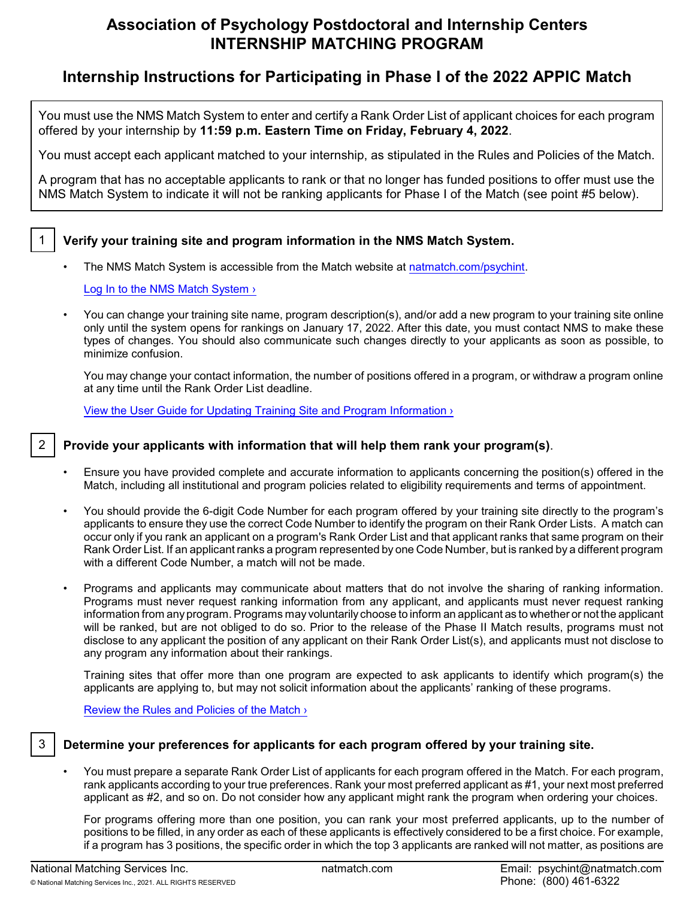# **Association of Psychology Postdoctoral and Internship Centers INTERNSHIP MATCHING PROGRAM**

# **Internship Instructions for Participating in Phase I of the 2022 APPIC Match**

You must use the NMS Match System to enter and certify a Rank Order List of applicant choices for each program offered by your internship by **11:59 p.m. Eastern Time on Friday, February 4, 2022**.

You must accept each applicant matched to your internship, as stipulated in the Rules and Policies of the Match.

A program that has no acceptable applicants to rank or that no longer has funded positions to offer must use the NMS Match System to indicate it will not be ranking applicants for Phase I of the Match (see point #5 below).

# 1 **Verify your training site and program information in the NMS Match System.**

The NMS Match System is accessible from the Match website at [natmatch.com/psychint](https://natmatch.com/psychint).

[Log In to the NMS Match System ›](https://natmatch.com/psychint/login.html)

• You can change your training site name, program description(s), and/or add a new program to your training site online only until the system opens for rankings on January 17, 2022. After this date, you must contact NMS to make these types of changes. You should also communicate such changes directly to your applicants as soon as possible, to minimize confusion.

You may change your contact information, the number of positions offered in a program, or withdraw a program online at any time until the Rank Order List deadline.

[View the User Guide for Updating Training Site and Program Information ›](https://natmatch.com/psychint/programs/account-guide.html)

# 2 **Provide your applicants with information that will help them rank your program(s)**.

- Ensure you have provided complete and accurate information to applicants concerning the position(s) offered in the Match, including all institutional and program policies related to eligibility requirements and terms of appointment.
- You should provide the 6-digit Code Number for each program offered by your training site directly to the program's applicants to ensure they use the correct Code Number to identify the program on their Rank Order Lists. A match can occur only if you rank an applicant on a program's Rank Order List and that applicant ranks that same program on their Rank Order List. If an applicant ranks a program represented by one Code Number, but is ranked by a different program with a different Code Number, a match will not be made.
- Programs and applicants may communicate about matters that do not involve the sharing of ranking information. Programs must never request ranking information from any applicant, and applicants must never request ranking information from anyprogram. Programs may voluntarily choose to inform an applicant as to whether or not the applicant will be ranked, but are not obliged to do so. Prior to the release of the Phase II Match results, programs must not disclose to any applicant the position of any applicant on their Rank Order List(s), and applicants must not disclose to any program any information about their rankings.

Training sites that offer more than one program are expected to ask applicants to identify which program(s) the applicants are applying to, but may not solicit information about the applicants' ranking of these programs.

Review the Rules and Policies of the Match >

## 3 **Determine your preferences for applicants for each program offered by your training site.**

• You must prepare a separate Rank Order List of applicants for each program offered in the Match. For each program, rank applicants according to your true preferences. Rank your most preferred applicant as #1, your next most preferred applicant as #2, and so on. Do not consider how any applicant might rank the program when ordering your choices.

For programs offering more than one position, you can rank your most preferred applicants, up to the number of positions to be filled, in any order as each of these applicants is effectively considered to be a first choice. For example, if a program has 3 positions, the specific order in which the top 3 applicants are ranked will not matter, as positions are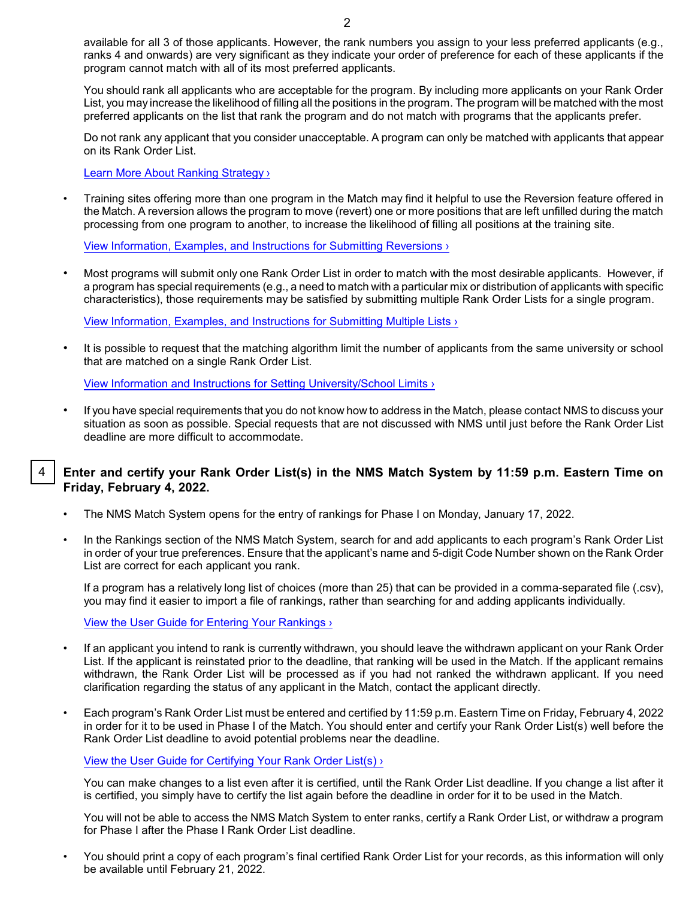available for all 3 of those applicants. However, the rank numbers you assign to your less preferred applicants (e.g., ranks 4 and onwards) are very significant as they indicate your order of preference for each of these applicants if the program cannot match with all of its most preferred applicants.

You should rank all applicants who are acceptable for the program. By including more applicants on your Rank Order List, you may increase the likelihood of filling all the positions in the program. The program will be matched with the most preferred applicants on the list that rank the program and do not match with programs that the applicants prefer.

Do not rank any applicant that you consider unacceptable. A program can only be matched with applicants that appear on its Rank Order List.

[Learn More About Ranking Strategy ›](https://natmatch.com/psychint/programs/strategy.html)

• Training sites offering more than one program in the Match may find it helpful to use the Reversion feature offered in the Match. A reversion allows the program to move (revert) one or more positions that are left unfilled during the match processing from one program to another, to increase the likelihood of filling all positions at the training site.

[View Information, Examples, and Instructions for Submitting Reversions ›](https://natmatch.com/psychint/programs/reversions.html)

• Most programs will submit only one Rank Order List in order to match with the most desirable applicants. However, if a program has special requirements (e.g., a need to match with a particular mix or distribution of applicants with specific characteristics), those requirements may be satisfied by submitting multiple Rank Order Lists for a single program.

[View Information, Examples, and Instructions for Submitting Multiple Lists ›](https://natmatch.com/psychint/programs/multiplelists.html)

It is possible to request that the matching algorithm limit the number of applicants from the same university or school that are matched on a single Rank Order List.

[View Information and Instructions for Setting University/School](https://natmatch.com/psychint/programs/limits.html) Limits ›

• If you have special requirements that you do not know how to address in the Match, please contact NMS to discuss your situation as soon as possible. Special requests that are not discussed with NMS until just before the Rank Order List deadline are more difficult to accommodate.

#### 4 **Enter and certify your Rank Order List(s) in the NMS Match System by 11:59 p.m. Eastern Time on Friday, February 4, 2022.**

- The NMS Match System opens for the entry of rankings for Phase I on Monday, January 17, 2022.
- In the Rankings section of the NMS Match System, search for and add applicants to each program's Rank Order List in order of your true preferences. Ensure that the applicant's name and 5-digit Code Number shown on the Rank Order List are correct for each applicant you rank.

If a program has a relatively long list of choices (more than 25) that can be provided in a comma-separated file (.csv), you may find it easier to import a file of rankings, rather than searching for and adding applicants individually.

[View the User Guide for Entering Your Rankings](https://natmatch.com/psychint/programs/rankings-guide.html#enter) ›

- If an applicant you intend to rank is currently withdrawn, you should leave the withdrawn applicant on your Rank Order List. If the applicant is reinstated prior to the deadline, that ranking will be used in the Match. If the applicant remains withdrawn, the Rank Order List will be processed as if you had not ranked the withdrawn applicant. If you need clarification regarding the status of any applicant in the Match, contact the applicant directly.
- Each program's Rank Order List must be entered and certified by 11:59 p.m. Eastern Time on Friday, February 4, 2022 in order for it to be used in Phase I of the Match. You should enter and certify your Rank Order List(s) well before the Rank Order List deadline to avoid potential problems near the deadline.

[View the User Guide for Certifying Your Rank](https://natmatch.com/psychint/programs/rankings-guide.html#certify) Order List(s) ›

You can make changes to a list even after it is certified, until the Rank Order List deadline. If you change a list after it is certified, you simply have to certify the list again before the deadline in order for it to be used in the Match.

You will not be able to access the NMS Match System to enter ranks, certify a Rank Order List, or withdraw a program for Phase I after the Phase I Rank Order List deadline.

• You should print a copy of each program's final certified Rank Order List for your records, as this information will only be available until February 21, 2022.